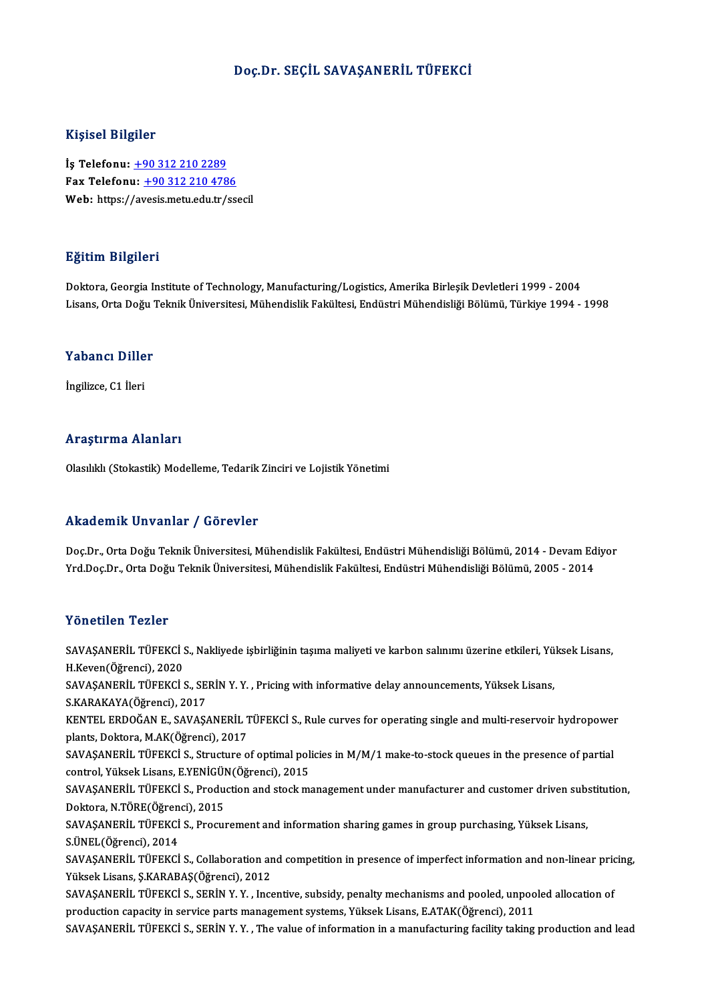## Doç.Dr. SEÇİL SAVAŞANERİL TÜFEKCİ

### Kişisel Bilgiler

İş Telefonu: +90 312 210 2289 Fax Telefonu:  $+903122104786$ Web: https:/[/av](tel:+90 312 210 2289)[esis.metu.edu.tr/ss](tel:+90 312 210 4786)ecil

### Eğitim Bilgileri

Doktora, Georgia Institute of Technology, Manufacturing/Logistics, Amerika Birleşik Devletleri 1999 - 2004 Lisans, Orta Doğu Teknik Üniversitesi, Mühendislik Fakültesi, Endüstri Mühendisliği Bölümü, Türkiye 1994 - 1998

## Lisans, orta bogu<br>Yabancı Diller Y<mark>abancı Dille</mark><br>İngilizce, C1 İleri

## İngilizce, C1 İleri<br>Araştırma Alanları

Olasılıklı (Stokastik) Modelleme, Tedarik Zinciri ve Lojistik Yönetimi

## Akademik Unvanlar / Görevler

Akademik Unvanlar / Görevler<br>Doç.Dr., Orta Doğu Teknik Üniversitesi, Mühendislik Fakültesi, Endüstri Mühendisliği Bölümü, 2014 - Devam Ediyor<br>Yrd Dos Dr., Orta Doğu Teknik Üniversitesi, Mühendislik Fakültesi, Endüstri Mühe YYRAA OMYK ONVANAT 7 AOTOVICI<br>Doç.Dr., Orta Doğu Teknik Üniversitesi, Mühendislik Fakültesi, Endüstri Mühendisliği Bölümü, 2014 - Devam Ed<br>Yrd.Doç.Dr., Orta Doğu Teknik Üniversitesi, Mühendislik Fakültesi, Endüstri Mühendi Yrd.Doç.Dr., Orta Doğu Teknik Üniversitesi, Mühendislik Fakültesi, Endüstri Mühendisliği Bölümü, 2005 - 2014<br>Yönetilen Tezler

SAVAŞANERİL TÜFEKCİ S., Nakliyede işbirliğinin taşıma maliyeti ve karbon salınımı üzerine etkileri, Yüksek Lisans, H.Keven(Öğrenci),2020 SAVAŞANERİL TÜFEKCİ S., Nakliyede işbirliğinin taşıma maliyeti ve karbon salınımı üzerine etkileri, Yü<br>H.Keven(Öğrenci), 2020<br>SAVAŞANERİL TÜFEKCİ S., SERİN Y. Y. , Pricing with informative delay announcements, Yüksek Lisan H.Keven(Öğrenci), 2020<br>SAVAŞANERİL TÜFEKCİ S., SE<br>S.KARAKAYA(Öğrenci), 2017<br>KENTEL EPDOČAN E. SAVAS SAVAŞANERİL TÜFEKCİ S., SERİN Y. Y. , Pricing with informative delay announcements, Yüksek Lisans,<br>S.KARAKAYA(Öğrenci), 2017<br>KENTEL ERDOĞAN E., SAVAŞANERİL TÜFEKCİ S., Rule curves for operating single and multi-reservoir h S.KARAKAYA(Öğrenci), 2017<br>KENTEL ERDOĞAN E., SAVAŞANERİL 1<br>plants, Doktora, M.AK(Öğrenci), 2017<br>SAVASANEPİL TÜEEKÇİ S. Structura 2 KENTEL ERDOĞAN E., SAVAŞANERİL TÜFEKCİ S., Rule curves for operating single and multi-reservoir hydropower<br>plants, Doktora, M.AK(Öğrenci), 2017<br>SAVAŞANERİL TÜFEKCİ S., Structure of optimal policies in M/M/1 make-to-stock q plants, Doktora, M.AK(Öğrenci), 2017<br>SAVAŞANERİL TÜFEKCİ S., Structure of optimal policies in M/M/1 make-to-stock queues in the presence of partial<br>control, Yüksek Lisans, E.YENİGÜN(Öğrenci), 2015 SAVAŞANERİL TÜFEKCİ S., Structure of optimal policies in M/M/1 make-to-stock queues in the presence of partial<br>control, Yüksek Lisans, E.YENİGÜN(Öğrenci), 2015<br>SAVAŞANERİL TÜFEKCİ S., Production and stock management under control, Yüksek Lisans, E.YENİGÜI<br>SAVAŞANERİL TÜFEKCİ S., Produ<br>Doktora, N.TÖRE(Öğrenci), 2015<br>SAVASANERİL TÜEEKCİ S. Procu SAVAŞANERİL TÜFEKCİ S., Production and stock management under manufacturer and customer driven sub:<br>Doktora, N.TÖRE(Öğrenci), 2015<br>SAVAŞANERİL TÜFEKCİ S., Procurement and information sharing games in group purchasing, Yüks Doktora, N.TÖRE(Öğren<br>SAVAŞANERİL TÜFEKCİ<br>S.ÜNEL(Öğrenci), 2014<br>SAVASANEPİL TÜFEKCİ SAVAŞANERİL TÜFEKCİ S., Procurement and information sharing games in group purchasing, Yüksek Lisans,<br>S.ÜNEL(Öğrenci), 2014<br>SAVAŞANERİL TÜFEKCİ S., Collaboration and competition in presence of imperfect information and non S.ÜNEL(Öğrenci), 2014<br>SAVAŞANERİL TÜFEKCİ S., Collaboration aı<br>Yüksek Lisans, Ş.KARABAŞ(Öğrenci), 2012 SAVAŞANERİL TÜFEKCİ S., Collaboration and competition in presence of imperfect information and non-linear pricing,<br>Yüksek Lisans, Ş.KARABAŞ(Öğrenci), 2012<br>SAVAŞANERİL TÜFEKCİ S., SERİN Y. Y. , Incentive, subsidy, penalty m SAVAŞANERİL TÜFEKCİ S., SERİN Y. Y., Incentive, subsidy, penalty mechanisms and pooled, unpooled allocation of SAVAŞANERİL TÜFEKCİ S., SERİN Y.Y., The value of information in a manufacturing facility taking production and lead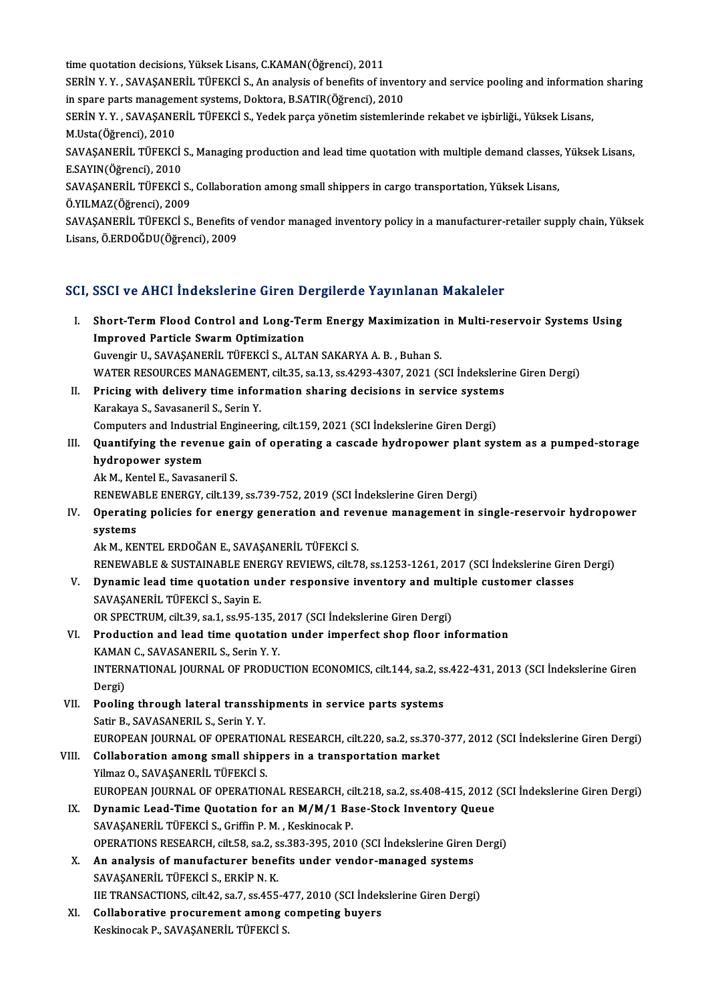time quotation decisions, Yüksek Lisans, C.KAMAN(Öğrenci), 2011

time quotation decisions, Yüksek Lisans, C.KAMAN(Öğrenci), 2011<br>SERİN Y. Y. , SAVAŞANERİL TÜFEKCİ S., An analysis of benefits of inventory and service pooling and information sharing<br>in spare porta managament systema. Dolt time quotation decisions, Yüksek Lisans, C.KAMAN(Öğrenci), 2011<br>SERİN Y. Y. , SAVAŞANERİL TÜFEKCİ S., An analysis of benefits of inven<br>in spare parts management systems, Doktora, B.SATIR(Öğrenci), 2010<br>SERİN Y. Y., SAVASAN SERİN Y. Y. , SAVAŞANERİL TÜFEKCİ S., An analysis of benefits of inventory and service pooling and informatic<br>in spare parts management systems, Doktora, B.SATIR(Öğrenci), 2010<br>SERİN Y. Y. , SAVAŞANERİL TÜFEKCİ S., Yedek p

in spare parts managen<br>SERİN Y. Y. , SAVAŞANE<br>M.Usta(Öğrenci), 2010<br>SAVASANEPİL TÜEEKC SERİN Y. Y. , SAVAŞANERİL TÜFEKCİ S., Yedek parça yönetim sistemlerinde rekabet ve işbirliği., Yüksek Lisans,<br>M.Usta(Öğrenci), 2010<br>SAVAŞANERİL TÜFEKCİ S., Managing production and lead time quotation with multiple demand c

M.Usta(Öğrenci), 2010<br>SAVAŞANERİL TÜFEKCİ<br>E.SAYIN(Öğrenci), 2010<br>SAVASANEPİL TÜREKCİ SAVAŞANERİL TÜFEKCİ S., Managing production and lead time quotation with multiple demand classes<br>E.SAYIN(Öğrenci), 2010<br>SAVAŞANERİL TÜFEKCİ S., Collaboration among small shippers in cargo transportation, Yüksek Lisans,<br>Ö.V

E.SAYIN(Öğrenci), 2010<br>SAVAŞANERİL TÜFEKCİ S., Collaboration among small shippers in cargo transportation, Yüksek Lisans,<br>Ö.YILMAZ(Öğrenci), 2009

SAVAŞANERİL TÜFEKCİ S., Collaboration among small shippers in cargo transportation, Yüksek Lisans,<br>Ö.YILMAZ(Öğrenci), 2009<br>SAVAŞANERİL TÜFEKCİ S., Benefits of vendor managed inventory policy in a manufacturer-retailer supp Ö.YILMAZ(Öğrenci), 2009<br>SAVAŞANERİL TÜFEKCİ S., Benefits (<br>Lisans, Ö.ERDOĞDU(Öğrenci), 2009

# Lisans, Ö.ERDOĞDU(Öğrenci), 2009<br>SCI, SSCI ve AHCI İndekslerine Giren Dergilerde Yayınlanan Makaleler

| SCI, SSCI ve AHCI İndekslerine Giren Dergilerde Yayınlanan Makaleler |                                                                                                                                            |
|----------------------------------------------------------------------|--------------------------------------------------------------------------------------------------------------------------------------------|
| L.                                                                   | Short-Term Flood Control and Long-Term Energy Maximization in Multi-reservoir Systems Using<br><b>Improved Particle Swarm Optimization</b> |
|                                                                      | Guvengir U., SAVAŞANERİL TÜFEKCİ S., ALTAN SAKARYA A.B., Buhan S.                                                                          |
|                                                                      | WATER RESOURCES MANAGEMENT, cilt.35, sa.13, ss.4293-4307, 2021 (SCI İndekslerine Giren Dergi)                                              |
| П.                                                                   | Pricing with delivery time information sharing decisions in service systems                                                                |
|                                                                      | Karakaya S., Savasaneril S., Serin Y.                                                                                                      |
|                                                                      | Computers and Industrial Engineering, cilt.159, 2021 (SCI Indekslerine Giren Dergi)                                                        |
| III.                                                                 | Quantifying the revenue gain of operating a cascade hydropower plant system as a pumped-storage                                            |
|                                                                      | hydropower system                                                                                                                          |
|                                                                      | Ak M., Kentel E., Savasaneril S.                                                                                                           |
|                                                                      | RENEWABLE ENERGY, cilt.139, ss.739-752, 2019 (SCI İndekslerine Giren Dergi)                                                                |
| IV.                                                                  | Operating policies for energy generation and revenue management in single-reservoir hydropower                                             |
|                                                                      | systems                                                                                                                                    |
|                                                                      | Ak M., KENTEL ERDOĞAN E., SAVAŞANERİL TÜFEKCİ S.                                                                                           |
|                                                                      | RENEWABLE & SUSTAINABLE ENERGY REVIEWS, cilt.78, ss.1253-1261, 2017 (SCI İndekslerine Giren Dergi)                                         |
| V.                                                                   | Dynamic lead time quotation under responsive inventory and multiple customer classes                                                       |
|                                                                      | SAVAŞANERİL TÜFEKCİ S., Sayin E.                                                                                                           |
|                                                                      | OR SPECTRUM, cilt.39, sa.1, ss.95-135, 2017 (SCI Indekslerine Giren Dergi)                                                                 |
| VI.                                                                  | Production and lead time quotation under imperfect shop floor information                                                                  |
|                                                                      | KAMAN C., SAVASANERIL S., Serin Y.Y.                                                                                                       |
|                                                                      | INTERNATIONAL JOURNAL OF PRODUCTION ECONOMICS, cilt.144, sa.2, ss.422-431, 2013 (SCI Indekslerine Giren                                    |
|                                                                      | Dergi)                                                                                                                                     |
| VII.                                                                 | Pooling through lateral transshipments in service parts systems                                                                            |
|                                                                      | Satir B., SAVASANERIL S., Serin Y.Y.                                                                                                       |
|                                                                      | EUROPEAN JOURNAL OF OPERATIONAL RESEARCH, cilt.220, sa.2, ss.370-377, 2012 (SCI Indekslerine Giren Dergi)                                  |
| VIII.                                                                | Collaboration among small shippers in a transportation market                                                                              |
|                                                                      | Yilmaz O., SAVAŞANERİL TÜFEKCİ S.                                                                                                          |
|                                                                      | EUROPEAN JOURNAL OF OPERATIONAL RESEARCH, cilt.218, sa.2, ss.408-415, 2012 (SCI Indekslerine Giren Dergi)                                  |
|                                                                      | IX. Dynamic Lead-Time Quotation for an M/M/1 Base-Stock Inventory Queue                                                                    |
|                                                                      | SAVAŞANERİL TÜFEKCİ S., Griffin P. M., Keskinocak P.                                                                                       |
|                                                                      | OPERATIONS RESEARCH, cilt.58, sa.2, ss.383-395, 2010 (SCI Indekslerine Giren Dergi)                                                        |
| X.                                                                   | An analysis of manufacturer benefits under vendor-managed systems                                                                          |
|                                                                      | SAVAŞANERİL TÜFEKCİ S., ERKİP N. K.                                                                                                        |
|                                                                      | IIE TRANSACTIONS, cilt.42, sa.7, ss.455-477, 2010 (SCI İndekslerine Giren Dergi)                                                           |
| XI.                                                                  | Collaborative procurement among competing buyers                                                                                           |
|                                                                      | Keskinocak P., SAVAŞANERİL TÜFEKCİ S.                                                                                                      |
|                                                                      |                                                                                                                                            |